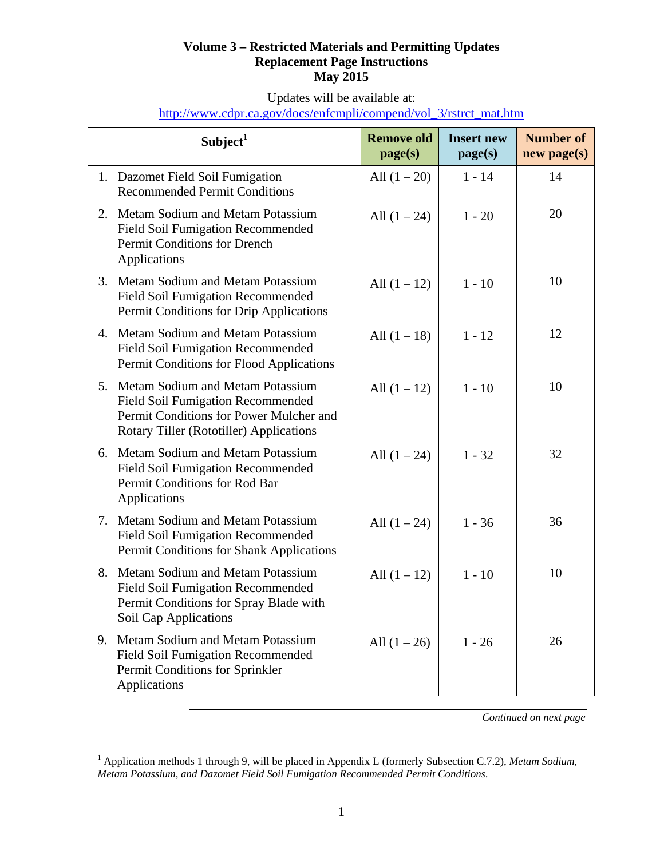## **Volume 3 – Restricted Materials and Permitting Updates Replacement Page Instructions May 2015**

Updates will be available at:

|  | http://www.cdpr.ca.gov/docs/enfcmpli/compend/vol 3/rstrct mat.htm |  |
|--|-------------------------------------------------------------------|--|
|  |                                                                   |  |

|    | Subject <sup>1</sup>                                                                                                                                               | <b>Remove old</b><br>page(s) | <b>Insert new</b><br>page(s) | <b>Number of</b><br>$new$ page(s) |
|----|--------------------------------------------------------------------------------------------------------------------------------------------------------------------|------------------------------|------------------------------|-----------------------------------|
|    | 1. Dazomet Field Soil Fumigation<br><b>Recommended Permit Conditions</b>                                                                                           | All $(1 – 20)$               | $1 - 14$                     | 14                                |
| 2. | Metam Sodium and Metam Potassium<br><b>Field Soil Fumigation Recommended</b><br>Permit Conditions for Drench<br>Applications                                       | All $(1 – 24)$               | $1 - 20$                     | 20                                |
| 3. | Metam Sodium and Metam Potassium<br><b>Field Soil Fumigation Recommended</b><br>Permit Conditions for Drip Applications                                            | All $(1 - 12)$               | $1 - 10$                     | 10                                |
| 4. | Metam Sodium and Metam Potassium<br><b>Field Soil Fumigation Recommended</b><br>Permit Conditions for Flood Applications                                           | All $(1 - 18)$               | $1 - 12$                     | 12                                |
| 5. | Metam Sodium and Metam Potassium<br><b>Field Soil Fumigation Recommended</b><br>Permit Conditions for Power Mulcher and<br>Rotary Tiller (Rototiller) Applications | All $(1 - 12)$               | $1 - 10$                     | 10                                |
| 6. | Metam Sodium and Metam Potassium<br><b>Field Soil Fumigation Recommended</b><br>Permit Conditions for Rod Bar<br>Applications                                      | All $(1 – 24)$               | $1 - 32$                     | 32                                |
| 7. | Metam Sodium and Metam Potassium<br><b>Field Soil Fumigation Recommended</b><br>Permit Conditions for Shank Applications                                           | All $(1 – 24)$               | $1 - 36$                     | 36                                |
| 8. | Metam Sodium and Metam Potassium<br><b>Field Soil Fumigation Recommended</b><br>Permit Conditions for Spray Blade with<br>Soil Cap Applications                    | All $(1 – 12)$               | $1 - 10$                     | 10                                |
| 9. | Metam Sodium and Metam Potassium<br><b>Field Soil Fumigation Recommended</b><br>Permit Conditions for Sprinkler<br>Applications                                    | All $(1 – 26)$               | $1 - 26$                     | 26                                |

*Continued on next page* 

<sup>1</sup> Application methods 1 through 9, will be placed in Appendix L (formerly Subsection C.7.2), *Metam Sodium, Metam Potassium, and Dazomet Field Soil Fumigation Recommended Permit Conditions*.